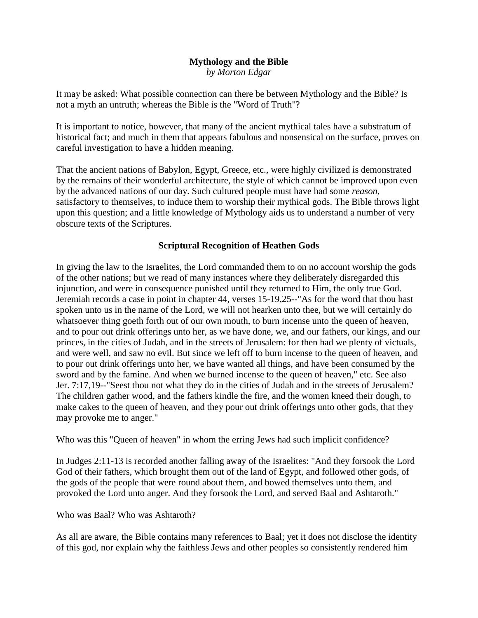#### **Mythology and the Bible** *by Morton Edgar*

It may be asked: What possible connection can there be between Mythology and the Bible? Is not a myth an untruth; whereas the Bible is the "Word of Truth"?

It is important to notice, however, that many of the ancient mythical tales have a substratum of historical fact; and much in them that appears fabulous and nonsensical on the surface, proves on careful investigation to have a hidden meaning.

That the ancient nations of Babylon, Egypt, Greece, etc., were highly civilized is demonstrated by the remains of their wonderful architecture, the style of which cannot be improved upon even by the advanced nations of our day. Such cultured people must have had some *reason*, satisfactory to themselves, to induce them to worship their mythical gods. The Bible throws light upon this question; and a little knowledge of Mythology aids us to understand a number of very obscure texts of the Scriptures.

# **Scriptural Recognition of Heathen Gods**

In giving the law to the Israelites, the Lord commanded them to on no account worship the gods of the other nations; but we read of many instances where they deliberately disregarded this injunction, and were in consequence punished until they returned to Him, the only true God. Jeremiah records a case in point in chapter 44, verses 15-19,25--"As for the word that thou hast spoken unto us in the name of the Lord, we will not hearken unto thee, but we will certainly do whatsoever thing goeth forth out of our own mouth, to burn incense unto the queen of heaven, and to pour out drink offerings unto her, as we have done, we, and our fathers, our kings, and our princes, in the cities of Judah, and in the streets of Jerusalem: for then had we plenty of victuals, and were well, and saw no evil. But since we left off to burn incense to the queen of heaven, and to pour out drink offerings unto her, we have wanted all things, and have been consumed by the sword and by the famine. And when we burned incense to the queen of heaven," etc. See also Jer. 7:17,19--"Seest thou not what they do in the cities of Judah and in the streets of Jerusalem? The children gather wood, and the fathers kindle the fire, and the women kneed their dough, to make cakes to the queen of heaven, and they pour out drink offerings unto other gods, that they may provoke me to anger."

Who was this "Queen of heaven" in whom the erring Jews had such implicit confidence?

In Judges 2:11-13 is recorded another falling away of the Israelites: "And they forsook the Lord God of their fathers, which brought them out of the land of Egypt, and followed other gods, of the gods of the people that were round about them, and bowed themselves unto them, and provoked the Lord unto anger. And they forsook the Lord, and served Baal and Ashtaroth."

# Who was Baal? Who was Ashtaroth?

As all are aware, the Bible contains many references to Baal; yet it does not disclose the identity of this god, nor explain why the faithless Jews and other peoples so consistently rendered him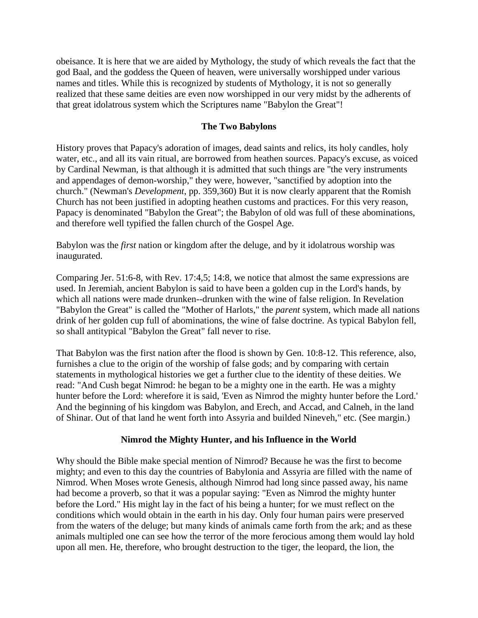obeisance. It is here that we are aided by Mythology, the study of which reveals the fact that the god Baal, and the goddess the Queen of heaven, were universally worshipped under various names and titles. While this is recognized by students of Mythology, it is not so generally realized that these same deities are even now worshipped in our very midst by the adherents of that great idolatrous system which the Scriptures name "Babylon the Great"!

### **The Two Babylons**

History proves that Papacy's adoration of images, dead saints and relics, its holy candles, holy water, etc., and all its vain ritual, are borrowed from heathen sources. Papacy's excuse, as voiced by Cardinal Newman, is that although it is admitted that such things are "the very instruments and appendages of demon-worship," they were, however, "sanctified by adoption into the church." (Newman's *Development*, pp. 359,360) But it is now clearly apparent that the Romish Church has not been justified in adopting heathen customs and practices. For this very reason, Papacy is denominated "Babylon the Great"; the Babylon of old was full of these abominations, and therefore well typified the fallen church of the Gospel Age.

Babylon was the *first* nation or kingdom after the deluge, and by it idolatrous worship was inaugurated.

Comparing Jer. 51:6-8, with Rev. 17:4,5; 14:8, we notice that almost the same expressions are used. In Jeremiah, ancient Babylon is said to have been a golden cup in the Lord's hands, by which all nations were made drunken--drunken with the wine of false religion. In Revelation "Babylon the Great" is called the "Mother of Harlots," the *parent* system, which made all nations drink of her golden cup full of abominations, the wine of false doctrine. As typical Babylon fell, so shall antitypical "Babylon the Great" fall never to rise.

That Babylon was the first nation after the flood is shown by Gen. 10:8-12. This reference, also, furnishes a clue to the origin of the worship of false gods; and by comparing with certain statements in mythological histories we get a further clue to the identity of these deities. We read: "And Cush begat Nimrod: he began to be a mighty one in the earth. He was a mighty hunter before the Lord: wherefore it is said, 'Even as Nimrod the mighty hunter before the Lord.' And the beginning of his kingdom was Babylon, and Erech, and Accad, and Calneh, in the land of Shinar. Out of that land he went forth into Assyria and builded Nineveh," etc. (See margin.)

### **Nimrod the Mighty Hunter, and his Influence in the World**

Why should the Bible make special mention of Nimrod? Because he was the first to become mighty; and even to this day the countries of Babylonia and Assyria are filled with the name of Nimrod. When Moses wrote Genesis, although Nimrod had long since passed away, his name had become a proverb, so that it was a popular saying: "Even as Nimrod the mighty hunter before the Lord." His might lay in the fact of his being a hunter; for we must reflect on the conditions which would obtain in the earth in his day. Only four human pairs were preserved from the waters of the deluge; but many kinds of animals came forth from the ark; and as these animals multipled one can see how the terror of the more ferocious among them would lay hold upon all men. He, therefore, who brought destruction to the tiger, the leopard, the lion, the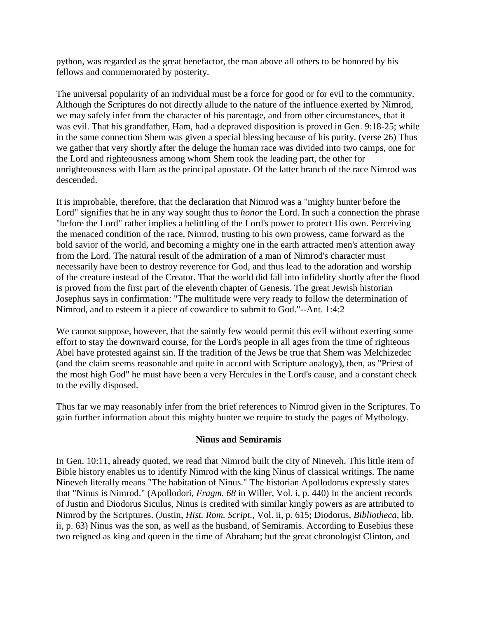python, was regarded as the great benefactor, the man above all others to be honored by his fellows and commemorated by posterity.

The universal popularity of an individual must be a force for good or for evil to the community. Although the Scriptures do not directly allude to the nature of the influence exerted by Nimrod, we may safely infer from the character of his parentage, and from other circumstances, that it was evil. That his grandfather, Ham, had a depraved disposition is proved in Gen. 9:18-25; while in the same connection Shem was given a special blessing because of his purity. (verse 26) Thus we gather that very shortly after the deluge the human race was divided into two camps, one for the Lord and righteousness among whom Shem took the leading part, the other for unrighteousness with Ham as the principal apostate. Of the latter branch of the race Nimrod was descended.

It is improbable, therefore, that the declaration that Nimrod was a "mighty hunter before the Lord" signifies that he in any way sought thus to *honor* the Lord. In such a connection the phrase "before the Lord" rather implies a belittling of the Lord's power to protect His own. Perceiving the menaced condition of the race, Nimrod, trusting to his own prowess, came forward as the bold savior of the world, and becoming a mighty one in the earth attracted men's attention away from the Lord. The natural result of the admiration of a man of Nimrod's character must necessarily have been to destroy reverence for God, and thus lead to the adoration and worship of the creature instead of the Creator. That the world did fall into infidelity shortly after the flood is proved from the first part of the eleventh chapter of Genesis. The great Jewish historian Josephus says in confirmation: "The multitude were very ready to follow the determination of Nimrod, and to esteem it a piece of cowardice to submit to God."--Ant. 1:4:2

We cannot suppose, however, that the saintly few would permit this evil without exerting some effort to stay the downward course, for the Lord's people in all ages from the time of righteous Abel have protested against sin. If the tradition of the Jews be true that Shem was Melchizedec (and the claim seems reasonable and quite in accord with Scripture analogy), then, as "Priest of the most high God" he must have been a very Hercules in the Lord's cause, and a constant check to the evilly disposed.

Thus far we may reasonably infer from the brief references to Nimrod given in the Scriptures. To gain further information about this mighty hunter we require to study the pages of Mythology.

### **Ninus and Semiramis**

In Gen. 10:11, already quoted, we read that Nimrod built the city of Nineveh. This little item of Bible history enables us to identify Nimrod with the king Ninus of classical writings. The name Nineveh literally means "The habitation of Ninus." The historian Apollodorus expressly states that "Ninus is Nimrod." (Apollodori, *Fragm. 68* in Willer, Vol. i, p. 440) In the ancient records of Justin and Diodorus Siculus, Ninus is credited with similar kingly powers as are attributed to Nimrod by the Scriptures. (Justin, *Hist. Rom. Script.*, Vol. ii, p. 615; Diodorus, *Bibliotheca*, lib. ii, p. 63) Ninus was the son, as well as the husband, of Semiramis. According to Eusebius these two reigned as king and queen in the time of Abraham; but the great chronologist Clinton, and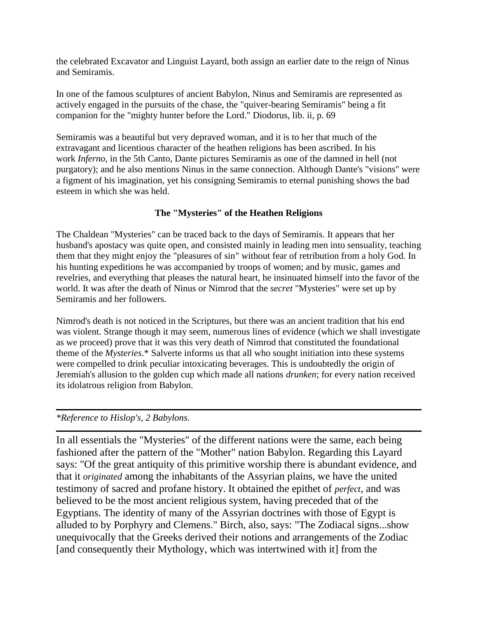the celebrated Excavator and Linguist Layard, both assign an earlier date to the reign of Ninus and Semiramis.

In one of the famous sculptures of ancient Babylon, Ninus and Semiramis are represented as actively engaged in the pursuits of the chase, the "quiver-bearing Semiramis" being a fit companion for the "mighty hunter before the Lord." Diodorus, lib. ii, p. 69

Semiramis was a beautiful but very depraved woman, and it is to her that much of the extravagant and licentious character of the heathen religions has been ascribed. In his work *Inferno*, in the 5th Canto, Dante pictures Semiramis as one of the damned in hell (not purgatory); and he also mentions Ninus in the same connection. Although Dante's "visions" were a figment of his imagination, yet his consigning Semiramis to eternal punishing shows the bad esteem in which she was held.

# **The "Mysteries" of the Heathen Religions**

The Chaldean "Mysteries" can be traced back to the days of Semiramis. It appears that her husband's apostacy was quite open, and consisted mainly in leading men into sensuality, teaching them that they might enjoy the "pleasures of sin" without fear of retribution from a holy God. In his hunting expeditions he was accompanied by troops of women; and by music, games and revelries, and everything that pleases the natural heart, he insinuated himself into the favor of the world. It was after the death of Ninus or Nimrod that the *secret* "Mysteries" were set up by Semiramis and her followers.

Nimrod's death is not noticed in the Scriptures, but there was an ancient tradition that his end was violent. Strange though it may seem, numerous lines of evidence (which we shall investigate as we proceed) prove that it was this very death of Nimrod that constituted the foundational theme of the *Mysteries*.\* Salverte informs us that all who sought initiation into these systems were compelled to drink peculiar intoxicating beverages. This is undoubtedly the origin of Jeremiah's allusion to the golden cup which made all nations *drunken*; for every nation received its idolatrous religion from Babylon.

# *\*Reference to Hislop's, 2 Babylons.*

In all essentials the "Mysteries" of the different nations were the same, each being fashioned after the pattern of the "Mother" nation Babylon. Regarding this Layard says: "Of the great antiquity of this primitive worship there is abundant evidence, and that it *originated* among the inhabitants of the Assyrian plains, we have the united testimony of sacred and profane history. It obtained the epithet of *perfect*, and was believed to be the most ancient religious system, having preceded that of the Egyptians. The identity of many of the Assyrian doctrines with those of Egypt is alluded to by Porphyry and Clemens." Birch, also, says: "The Zodiacal signs...show unequivocally that the Greeks derived their notions and arrangements of the Zodiac [and consequently their Mythology, which was intertwined with it] from the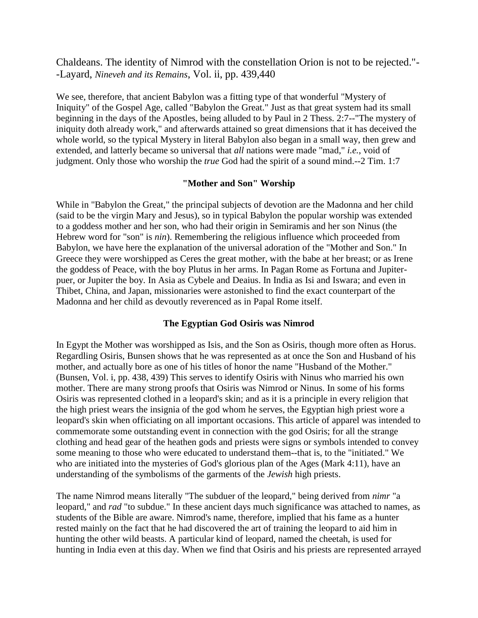Chaldeans. The identity of Nimrod with the constellation Orion is not to be rejected."- -Layard, *Nineveh and its Remains*, Vol. ii, pp. 439,440

We see, therefore, that ancient Babylon was a fitting type of that wonderful "Mystery of Iniquity" of the Gospel Age, called "Babylon the Great." Just as that great system had its small beginning in the days of the Apostles, being alluded to by Paul in 2 Thess. 2:7--"The mystery of iniquity doth already work," and afterwards attained so great dimensions that it has deceived the whole world, so the typical Mystery in literal Babylon also began in a small way, then grew and extended, and latterly became so universal that *all* nations were made "mad," *i.e.*, void of judgment. Only those who worship the *true* God had the spirit of a sound mind.--2 Tim. 1:7

#### **"Mother and Son" Worship**

While in "Babylon the Great," the principal subjects of devotion are the Madonna and her child (said to be the virgin Mary and Jesus), so in typical Babylon the popular worship was extended to a goddess mother and her son, who had their origin in Semiramis and her son Ninus (the Hebrew word for "son" is *nin*). Remembering the religious influence which proceeded from Babylon, we have here the explanation of the universal adoration of the "Mother and Son." In Greece they were worshipped as Ceres the great mother, with the babe at her breast; or as Irene the goddess of Peace, with the boy Plutus in her arms. In Pagan Rome as Fortuna and Jupiterpuer, or Jupiter the boy. In Asia as Cybele and Deaius. In India as Isi and Iswara; and even in Thibet, China, and Japan, missionaries were astonished to find the exact counterpart of the Madonna and her child as devoutly reverenced as in Papal Rome itself.

### **The Egyptian God Osiris was Nimrod**

In Egypt the Mother was worshipped as Isis, and the Son as Osiris, though more often as Horus. Regardling Osiris, Bunsen shows that he was represented as at once the Son and Husband of his mother, and actually bore as one of his titles of honor the name "Husband of the Mother." (Bunsen, Vol. i, pp. 438, 439) This serves to identify Osiris with Ninus who married his own mother. There are many strong proofs that Osiris was Nimrod or Ninus. In some of his forms Osiris was represented clothed in a leopard's skin; and as it is a principle in every religion that the high priest wears the insignia of the god whom he serves, the Egyptian high priest wore a leopard's skin when officiating on all important occasions. This article of apparel was intended to commemorate some outstanding event in connection with the god Osiris; for all the strange clothing and head gear of the heathen gods and priests were signs or symbols intended to convey some meaning to those who were educated to understand them--that is, to the "initiated." We who are initiated into the mysteries of God's glorious plan of the Ages (Mark 4:11), have an understanding of the symbolisms of the garments of the *Jewish* high priests.

The name Nimrod means literally "The subduer of the leopard," being derived from *nimr* "a leopard," and *rad* "to subdue." In these ancient days much significance was attached to names, as students of the Bible are aware. Nimrod's name, therefore, implied that his fame as a hunter rested mainly on the fact that he had discovered the art of training the leopard to aid him in hunting the other wild beasts. A particular kind of leopard, named the cheetah, is used for hunting in India even at this day. When we find that Osiris and his priests are represented arrayed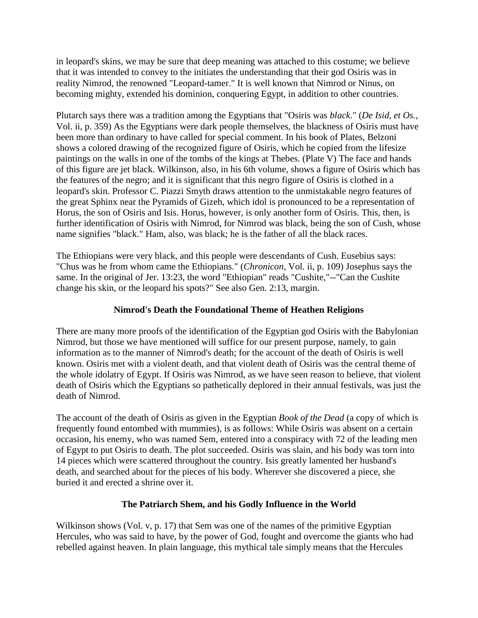in leopard's skins, we may be sure that deep meaning was attached to this costume; we believe that it was intended to convey to the initiates the understanding that their god Osiris was in reality Nimrod, the renowned "Leopard-tamer." It is well known that Nimrod or Ninus, on becoming mighty, extended his dominion, conquering Egypt, in addition to other countries.

Plutarch says there was a tradition among the Egyptians that "Osiris was *black*." (*De Isid, et Os.*, Vol. ii, p. 359) As the Egyptians were dark people themselves, the blackness of Osiris must have been more than ordinary to have called for special comment. In his book of Plates, Belzoni shows a colored drawing of the recognized figure of Osiris, which he copied from the lifesize paintings on the walls in one of the tombs of the kings at Thebes. (Plate V) The face and hands of this figure are jet black. Wilkinson, also, in his 6th volume, shows a figure of Osiris which has the features of the negro; and it is significant that this negro figure of Osiris is clothed in a leopard's skin. Professor C. Piazzi Smyth draws attention to the unmistakable negro features of the great Sphinx near the Pyramids of Gizeh, which idol is pronounced to be a representation of Horus, the son of Osiris and Isis. Horus, however, is only another form of Osiris. This, then, is further identification of Osiris with Nimrod, for Nimrod was black, being the son of Cush, whose name signifies "black." Ham, also, was black; he is the father of all the black races.

The Ethiopians were very black, and this people were descendants of Cush. Eusebius says: "Chus was he from whom came the Ethiopians." (*Chronicon*, Vol. ii, p. 109) Josephus says the same. In the original of Jer. 13:23, the word "Ethiopian" reads "Cushite,"--"Can the Cushite change his skin, or the leopard his spots?" See also Gen. 2:13, margin.

# **Nimrod's Death the Foundational Theme of Heathen Religions**

There are many more proofs of the identification of the Egyptian god Osiris with the Babylonian Nimrod, but those we have mentioned will suffice for our present purpose, namely, to gain information as to the manner of Nimrod's death; for the account of the death of Osiris is well known. Osiris met with a violent death, and that violent death of Osiris was the central theme of the whole idolatry of Egypt. If Osiris was Nimrod, as we have seen reason to believe, that violent death of Osiris which the Egyptians so pathetically deplored in their annual festivals, was just the death of Nimrod.

The account of the death of Osiris as given in the Egyptian *Book of the Dead* (a copy of which is frequently found entombed with mummies), is as follows: While Osiris was absent on a certain occasion, his enemy, who was named Sem, entered into a conspiracy with 72 of the leading men of Egypt to put Osiris to death. The plot succeeded. Osiris was slain, and his body was torn into 14 pieces which were scattered throughout the country. Isis greatly lamented her husband's death, and searched about for the pieces of his body. Wherever she discovered a piece, she buried it and erected a shrine over it.

# **The Patriarch Shem, and his Godly Influence in the World**

Wilkinson shows (Vol. v, p. 17) that Sem was one of the names of the primitive Egyptian Hercules, who was said to have, by the power of God, fought and overcome the giants who had rebelled against heaven. In plain language, this mythical tale simply means that the Hercules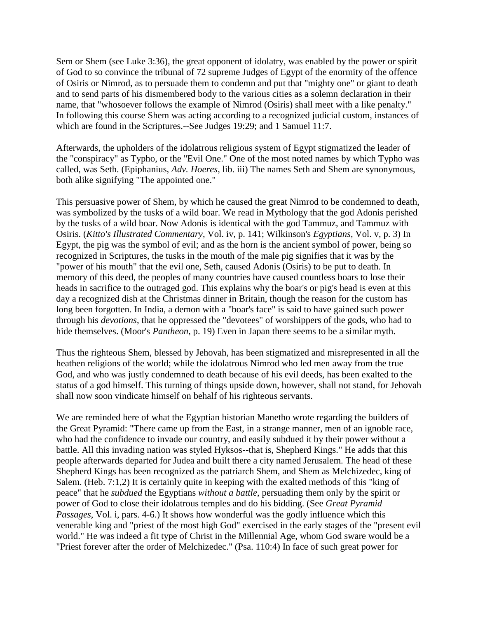Sem or Shem (see Luke 3:36), the great opponent of idolatry, was enabled by the power or spirit of God to so convince the tribunal of 72 supreme Judges of Egypt of the enormity of the offence of Osiris or Nimrod, as to persuade them to condemn and put that "mighty one" or giant to death and to send parts of his dismembered body to the various cities as a solemn declaration in their name, that "whosoever follows the example of Nimrod (Osiris) shall meet with a like penalty." In following this course Shem was acting according to a recognized judicial custom, instances of which are found in the Scriptures.--See Judges 19:29; and 1 Samuel 11:7.

Afterwards, the upholders of the idolatrous religious system of Egypt stigmatized the leader of the "conspiracy" as Typho, or the "Evil One." One of the most noted names by which Typho was called, was Seth. (Epiphanius, *Adv. Hoeres*, lib. iii) The names Seth and Shem are synonymous, both alike signifying "The appointed one."

This persuasive power of Shem, by which he caused the great Nimrod to be condemned to death, was symbolized by the tusks of a wild boar. We read in Mythology that the god Adonis perished by the tusks of a wild boar. Now Adonis is identical with the god Tammuz, and Tammuz with Osiris. (*Kitto's Illustrated Commentary*, Vol. iv, p. 141; Wilkinson's *Egyptians*, Vol. v, p. 3) In Egypt, the pig was the symbol of evil; and as the horn is the ancient symbol of power, being so recognized in Scriptures, the tusks in the mouth of the male pig signifies that it was by the "power of his mouth" that the evil one, Seth, caused Adonis (Osiris) to be put to death. In memory of this deed, the peoples of many countries have caused countless boars to lose their heads in sacrifice to the outraged god. This explains why the boar's or pig's head is even at this day a recognized dish at the Christmas dinner in Britain, though the reason for the custom has long been forgotten. In India, a demon with a "boar's face" is said to have gained such power through his *devotions*, that he oppressed the "devotees" of worshippers of the gods, who had to hide themselves. (Moor's *Pantheon*, p. 19) Even in Japan there seems to be a similar myth.

Thus the righteous Shem, blessed by Jehovah, has been stigmatized and misrepresented in all the heathen religions of the world; while the idolatrous Nimrod who led men away from the true God, and who was justly condemned to death because of his evil deeds, has been exalted to the status of a god himself. This turning of things upside down, however, shall not stand, for Jehovah shall now soon vindicate himself on behalf of his righteous servants.

We are reminded here of what the Egyptian historian Manetho wrote regarding the builders of the Great Pyramid: "There came up from the East, in a strange manner, men of an ignoble race, who had the confidence to invade our country, and easily subdued it by their power without a battle. All this invading nation was styled Hyksos--that is, Shepherd Kings." He adds that this people afterwards departed for Judea and built there a city named Jerusalem. The head of these Shepherd Kings has been recognized as the patriarch Shem, and Shem as Melchizedec, king of Salem. (Heb. 7:1,2) It is certainly quite in keeping with the exalted methods of this "king of peace" that he *subdued* the Egyptians *without a battle*, persuading them only by the spirit or power of God to close their idolatrous temples and do his bidding. (See *Great Pyramid Passages*, Vol. i, pars. 4-6.) It shows how wonderful was the godly influence which this venerable king and "priest of the most high God" exercised in the early stages of the "present evil world." He was indeed a fit type of Christ in the Millennial Age, whom God sware would be a "Priest forever after the order of Melchizedec." (Psa. 110:4) In face of such great power for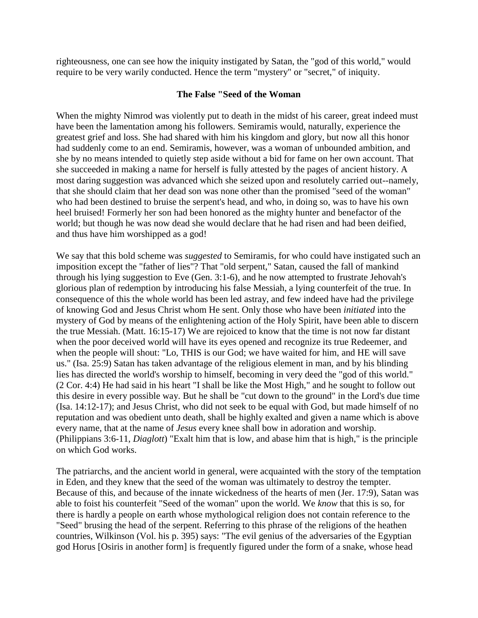righteousness, one can see how the iniquity instigated by Satan, the "god of this world," would require to be very warily conducted. Hence the term "mystery" or "secret," of iniquity.

### **The False "Seed of the Woman**

When the mighty Nimrod was violently put to death in the midst of his career, great indeed must have been the lamentation among his followers. Semiramis would, naturally, experience the greatest grief and loss. She had shared with him his kingdom and glory, but now all this honor had suddenly come to an end. Semiramis, however, was a woman of unbounded ambition, and she by no means intended to quietly step aside without a bid for fame on her own account. That she succeeded in making a name for herself is fully attested by the pages of ancient history. A most daring suggestion was advanced which she seized upon and resolutely carried out--namely, that she should claim that her dead son was none other than the promised "seed of the woman" who had been destined to bruise the serpent's head, and who, in doing so, was to have his own heel bruised! Formerly her son had been honored as the mighty hunter and benefactor of the world; but though he was now dead she would declare that he had risen and had been deified, and thus have him worshipped as a god!

We say that this bold scheme was *suggested* to Semiramis, for who could have instigated such an imposition except the "father of lies"? That "old serpent," Satan, caused the fall of mankind through his lying suggestion to Eve (Gen. 3:1-6), and he now attempted to frustrate Jehovah's glorious plan of redemption by introducing his false Messiah, a lying counterfeit of the true. In consequence of this the whole world has been led astray, and few indeed have had the privilege of knowing God and Jesus Christ whom He sent. Only those who have been *initiated* into the mystery of God by means of the enlightening action of the Holy Spirit, have been able to discern the true Messiah. (Matt. 16:15-17) We are rejoiced to know that the time is not now far distant when the poor deceived world will have its eyes opened and recognize its true Redeemer, and when the people will shout: "Lo, THIS is our God; we have waited for him, and HE will save us." (Isa. 25:9) Satan has taken advantage of the religious element in man, and by his blinding lies has directed the world's worship to himself, becoming in very deed the "god of this world." (2 Cor. 4:4) He had said in his heart "I shall be like the Most High," and he sought to follow out this desire in every possible way. But he shall be "cut down to the ground" in the Lord's due time (Isa. 14:12-17); and Jesus Christ, who did not seek to be equal with God, but made himself of no reputation and was obedient unto death, shall be highly exalted and given a name which is above every name, that at the name of *Jesus* every knee shall bow in adoration and worship. (Philippians 3:6-11, *Diaglott*) "Exalt him that is low, and abase him that is high," is the principle on which God works.

The patriarchs, and the ancient world in general, were acquainted with the story of the temptation in Eden, and they knew that the seed of the woman was ultimately to destroy the tempter. Because of this, and because of the innate wickedness of the hearts of men (Jer. 17:9), Satan was able to foist his counterfeit "Seed of the woman" upon the world. We *know* that this is so, for there is hardly a people on earth whose mythological religion does not contain reference to the "Seed" brusing the head of the serpent. Referring to this phrase of the religions of the heathen countries, Wilkinson (Vol. his p. 395) says: "The evil genius of the adversaries of the Egyptian god Horus [Osiris in another form] is frequently figured under the form of a snake, whose head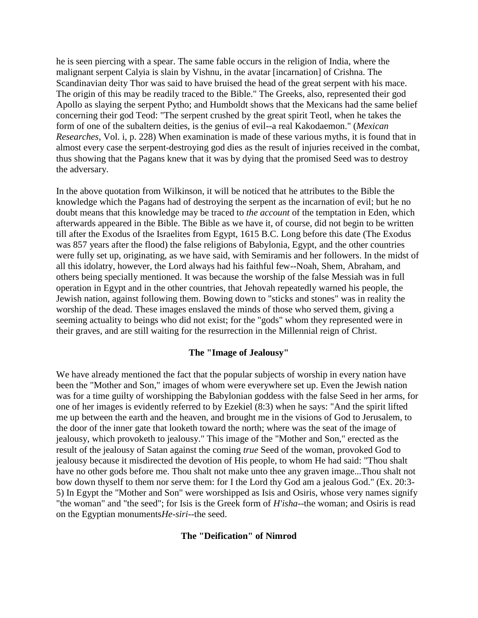he is seen piercing with a spear. The same fable occurs in the religion of India, where the malignant serpent Calyia is slain by Vishnu, in the avatar [incarnation] of Crishna. The Scandinavian deity Thor was said to have bruised the head of the great serpent with his mace. The origin of this may be readily traced to the Bible." The Greeks, also, represented their god Apollo as slaying the serpent Pytho; and Humboldt shows that the Mexicans had the same belief concerning their god Teod: "The serpent crushed by the great spirit Teotl, when he takes the form of one of the subaltern deities, is the genius of evil--a real Kakodaemon." (*Mexican Researches*, Vol. i, p. 228) When examination is made of these various myths, it is found that in almost every case the serpent-destroying god dies as the result of injuries received in the combat, thus showing that the Pagans knew that it was by dying that the promised Seed was to destroy the adversary.

In the above quotation from Wilkinson, it will be noticed that he attributes to the Bible the knowledge which the Pagans had of destroying the serpent as the incarnation of evil; but he no doubt means that this knowledge may be traced to *the account* of the temptation in Eden, which afterwards appeared in the Bible. The Bible as we have it, of course, did not begin to be written till after the Exodus of the Israelites from Egypt, 1615 B.C. Long before this date (The Exodus was 857 years after the flood) the false religions of Babylonia, Egypt, and the other countries were fully set up, originating, as we have said, with Semiramis and her followers. In the midst of all this idolatry, however, the Lord always had his faithful few--Noah, Shem, Abraham, and others being specially mentioned. It was because the worship of the false Messiah was in full operation in Egypt and in the other countries, that Jehovah repeatedly warned his people, the Jewish nation, against following them. Bowing down to "sticks and stones" was in reality the worship of the dead. These images enslaved the minds of those who served them, giving a seeming actuality to beings who did not exist; for the "gods" whom they represented were in their graves, and are still waiting for the resurrection in the Millennial reign of Christ.

#### **The "Image of Jealousy"**

We have already mentioned the fact that the popular subjects of worship in every nation have been the "Mother and Son," images of whom were everywhere set up. Even the Jewish nation was for a time guilty of worshipping the Babylonian goddess with the false Seed in her arms, for one of her images is evidently referred to by Ezekiel (8:3) when he says: "And the spirit lifted me up between the earth and the heaven, and brought me in the visions of God to Jerusalem, to the door of the inner gate that looketh toward the north; where was the seat of the image of jealousy, which provoketh to jealousy." This image of the "Mother and Son," erected as the result of the jealousy of Satan against the coming *true* Seed of the woman, provoked God to jealousy because it misdirected the devotion of His people, to whom He had said: "Thou shalt have no other gods before me. Thou shalt not make unto thee any graven image...Thou shalt not bow down thyself to them nor serve them: for I the Lord thy God am a jealous God." (Ex. 20:3- 5) In Egypt the "Mother and Son" were worshipped as Isis and Osiris, whose very names signify "the woman" and "the seed"; for Isis is the Greek form of *H'isha*--the woman; and Osiris is read on the Egyptian monuments*He-siri*--the seed.

#### **The "Deification" of Nimrod**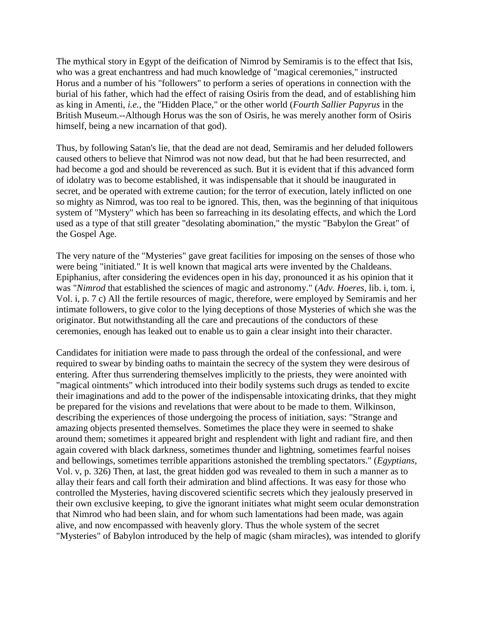The mythical story in Egypt of the deification of Nimrod by Semiramis is to the effect that Isis, who was a great enchantress and had much knowledge of "magical ceremonies," instructed Horus and a number of his "followers" to perform a series of operations in connection with the burial of his father, which had the effect of raising Osiris from the dead, and of establishing him as king in Amenti, *i.e.*, the "Hidden Place," or the other world (*Fourth Sallier Papyrus* in the British Museum.--Although Horus was the son of Osiris, he was merely another form of Osiris himself, being a new incarnation of that god).

Thus, by following Satan's lie, that the dead are not dead, Semiramis and her deluded followers caused others to believe that Nimrod was not now dead, but that he had been resurrected, and had become a god and should be reverenced as such. But it is evident that if this advanced form of idolatry was to become established, it was indispensable that it should be inaugurated in secret, and be operated with extreme caution; for the terror of execution, lately inflicted on one so mighty as Nimrod, was too real to be ignored. This, then, was the beginning of that iniquitous system of "Mystery" which has been so farreaching in its desolating effects, and which the Lord used as a type of that still greater "desolating abomination," the mystic "Babylon the Great" of the Gospel Age.

The very nature of the "Mysteries" gave great facilities for imposing on the senses of those who were being "initiated." It is well known that magical arts were invented by the Chaldeans. Epiphanius, after considering the evidences open in his day, pronounced it as his opinion that it was "*Nimrod* that established the sciences of magic and astronomy." (*Adv. Hoeres*, lib. i, tom. i, Vol. i, p. 7 c) All the fertile resources of magic, therefore, were employed by Semiramis and her intimate followers, to give color to the lying deceptions of those Mysteries of which she was the originator. But notwithstanding all the care and precautions of the conductors of these ceremonies, enough has leaked out to enable us to gain a clear insight into their character.

Candidates for initiation were made to pass through the ordeal of the confessional, and were required to swear by binding oaths to maintain the secrecy of the system they were desirous of entering. After thus surrendering themselves implicitly to the priests, they were anointed with "magical ointments" which introduced into their bodily systems such drugs as tended to excite their imaginations and add to the power of the indispensable intoxicating drinks, that they might be prepared for the visions and revelations that were about to be made to them. Wilkinson, describing the experiences of those undergoing the process of initiation, says: "Strange and amazing objects presented themselves. Sometimes the place they were in seemed to shake around them; sometimes it appeared bright and resplendent with light and radiant fire, and then again covered with black darkness, sometimes thunder and lightning, sometimes fearful noises and bellowings, sometimes terrible apparitions astonished the trembling spectators." (*Egyptians*, Vol. v, p. 326) Then, at last, the great hidden god was revealed to them in such a manner as to allay their fears and call forth their admiration and blind affections. It was easy for those who controlled the Mysteries, having discovered scientific secrets which they jealously preserved in their own exclusive keeping, to give the ignorant initiates what might seem ocular demonstration that Nimrod who had been slain, and for whom such lamentations had been made, was again alive, and now encompassed with heavenly glory. Thus the whole system of the secret "Mysteries" of Babylon introduced by the help of magic (sham miracles), was intended to glorify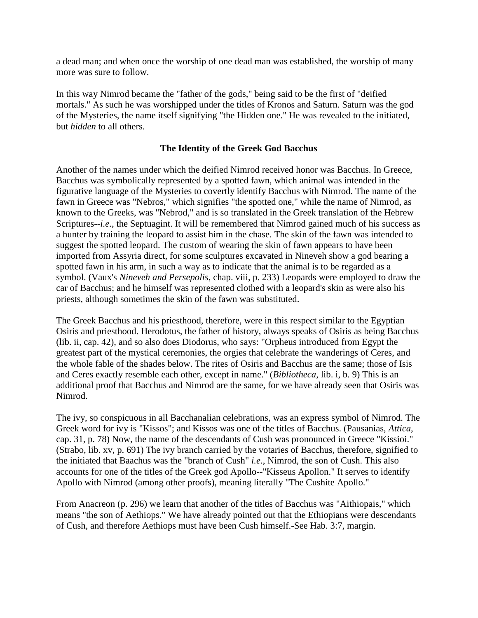a dead man; and when once the worship of one dead man was established, the worship of many more was sure to follow.

In this way Nimrod became the "father of the gods," being said to be the first of "deified mortals." As such he was worshipped under the titles of Kronos and Saturn. Saturn was the god of the Mysteries, the name itself signifying "the Hidden one." He was revealed to the initiated, but *hidden* to all others.

# **The Identity of the Greek God Bacchus**

Another of the names under which the deified Nimrod received honor was Bacchus. In Greece, Bacchus was symbolically represented by a spotted fawn, which animal was intended in the figurative language of the Mysteries to covertly identify Bacchus with Nimrod. The name of the fawn in Greece was "Nebros," which signifies "the spotted one," while the name of Nimrod, as known to the Greeks, was "Nebrod," and is so translated in the Greek translation of the Hebrew Scriptures-*-i.e.*, the Septuagint. It will be remembered that Nimrod gained much of his success as a hunter by training the leopard to assist him in the chase. The skin of the fawn was intended to suggest the spotted leopard. The custom of wearing the skin of fawn appears to have been imported from Assyria direct, for some sculptures excavated in Nineveh show a god bearing a spotted fawn in his arm, in such a way as to indicate that the animal is to be regarded as a symbol. (Vaux's *Nineveh and Persepolis*, chap. viii, p. 233) Leopards were employed to draw the car of Bacchus; and he himself was represented clothed with a leopard's skin as were also his priests, although sometimes the skin of the fawn was substituted.

The Greek Bacchus and his priesthood, therefore, were in this respect similar to the Egyptian Osiris and priesthood. Herodotus, the father of history, always speaks of Osiris as being Bacchus (lib. ii, cap. 42), and so also does Diodorus, who says: "Orpheus introduced from Egypt the greatest part of the mystical ceremonies, the orgies that celebrate the wanderings of Ceres, and the whole fable of the shades below. The rites of Osiris and Bacchus are the same; those of Isis and Ceres exactly resemble each other, except in name." (*Bibliotheca*, lib. i, b. 9) This is an additional proof that Bacchus and Nimrod are the same, for we have already seen that Osiris was Nimrod.

The ivy, so conspicuous in all Bacchanalian celebrations, was an express symbol of Nimrod. The Greek word for ivy is "Kissos"; and Kissos was one of the titles of Bacchus. (Pausanias, *Attica*, cap. 31, p. 78) Now, the name of the descendants of Cush was pronounced in Greece "Kissioi." (Strabo, lib. xv, p. 691) The ivy branch carried by the votaries of Bacchus, therefore, signified to the initiated that Baachus was the "branch of Cush" *i.e.*, Nimrod, the son of Cush. This also accounts for one of the titles of the Greek god Apollo--"Kisseus Apollon." It serves to identify Apollo with Nimrod (among other proofs), meaning literally "The Cushite Apollo."

From Anacreon (p. 296) we learn that another of the titles of Bacchus was "Aithiopais," which means "the son of Aethiops." We have already pointed out that the Ethiopians were descendants of Cush, and therefore Aethiops must have been Cush himself.-See Hab. 3:7, margin.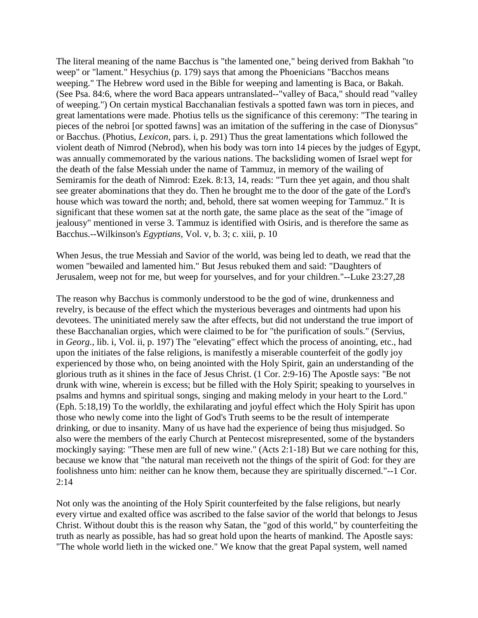The literal meaning of the name Bacchus is "the lamented one," being derived from Bakhah "to weep" or "lament." Hesychius (p. 179) says that among the Phoenicians "Bacchos means weeping." The Hebrew word used in the Bible for weeping and lamenting is Baca, or Bakah. (See Psa. 84:6, where the word Baca appears untranslated--"valley of Baca," should read "valley of weeping.") On certain mystical Bacchanalian festivals a spotted fawn was torn in pieces, and great lamentations were made. Photius tells us the significance of this ceremony: "The tearing in pieces of the nebroi [or spotted fawns] was an imitation of the suffering in the case of Dionysus" or Bacchus. (Photius, *Lexicon*, pars. i, p. 291) Thus the great lamentations which followed the violent death of Nimrod (Nebrod), when his body was torn into 14 pieces by the judges of Egypt, was annually commemorated by the various nations. The backsliding women of Israel wept for the death of the false Messiah under the name of Tammuz, in memory of the wailing of Semiramis for the death of Nimrod: Ezek. 8:13, 14, reads: "Turn thee yet again, and thou shalt see greater abominations that they do. Then he brought me to the door of the gate of the Lord's house which was toward the north; and, behold, there sat women weeping for Tammuz." It is significant that these women sat at the north gate, the same place as the seat of the "image of jealousy" mentioned in verse 3. Tammuz is identified with Osiris, and is therefore the same as Bacchus.--Wilkinson's *Egyptians*, Vol. v, b. 3; c. xiii, p. 10

When Jesus, the true Messiah and Savior of the world, was being led to death, we read that the women "bewailed and lamented him." But Jesus rebuked them and said: "Daughters of Jerusalem, weep not for me, but weep for yourselves, and for your children."--Luke 23:27,28

The reason why Bacchus is commonly understood to be the god of wine, drunkenness and revelry, is because of the effect which the mysterious beverages and ointments had upon his devotees. The uninitiated merely saw the after effects, but did not understand the true import of these Bacchanalian orgies, which were claimed to be for "the purification of souls." (Servius, in *Georg.*, lib. i, Vol. ii, p. 197) The "elevating" effect which the process of anointing, etc., had upon the initiates of the false religions, is manifestly a miserable counterfeit of the godly joy experienced by those who, on being anointed with the Holy Spirit, gain an understanding of the glorious truth as it shines in the face of Jesus Christ. (1 Cor. 2:9-16) The Apostle says: "Be not drunk with wine, wherein is excess; but be filled with the Holy Spirit; speaking to yourselves in psalms and hymns and spiritual songs, singing and making melody in your heart to the Lord." (Eph. 5:18,19) To the worldly, the exhilarating and joyful effect which the Holy Spirit has upon those who newly come into the light of God's Truth seems to be the result of intemperate drinking, or due to insanity. Many of us have had the experience of being thus misjudged. So also were the members of the early Church at Pentecost misrepresented, some of the bystanders mockingly saying: "These men are full of new wine." (Acts 2:1-18) But we care nothing for this, because we know that "the natural man receiveth not the things of the spirit of God: for they are foolishness unto him: neither can he know them, because they are spiritually discerned."--1 Cor.  $2:14$ 

Not only was the anointing of the Holy Spirit counterfeited by the false religions, but nearly every virtue and exalted office was ascribed to the false savior of the world that belongs to Jesus Christ. Without doubt this is the reason why Satan, the "god of this world," by counterfeiting the truth as nearly as possible, has had so great hold upon the hearts of mankind. The Apostle says: "The whole world lieth in the wicked one." We know that the great Papal system, well named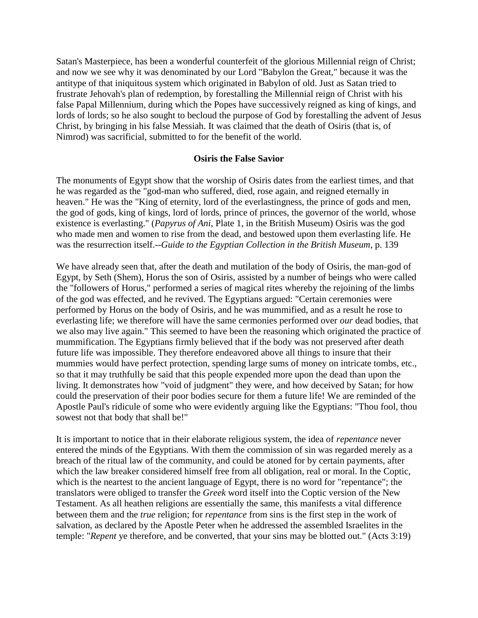Satan's Masterpiece, has been a wonderful counterfeit of the glorious Millennial reign of Christ; and now we see why it was denominated by our Lord "Babylon the Great," because it was the antitype of that iniquitous system which originated in Babylon of old. Just as Satan tried to frustrate Jehovah's plan of redemption, by forestalling the Millennial reign of Christ with his false Papal Millennium, during which the Popes have successively reigned as king of kings, and lords of lords; so he also sought to becloud the purpose of God by forestalling the advent of Jesus Christ, by bringing in his false Messiah. It was claimed that the death of Osiris (that is, of Nimrod) was sacrificial, submitted to for the benefit of the world.

### **Osiris the False Savior**

The monuments of Egypt show that the worship of Osiris dates from the earliest times, and that he was regarded as the "god-man who suffered, died, rose again, and reigned eternally in heaven." He was the "King of eternity, lord of the everlastingness, the prince of gods and men, the god of gods, king of kings, lord of lords, prince of princes, the governor of the world, whose existence is everlasting." (*Papyrus of Ani*, Plate 1, in the British Museum) Osiris was the god who made men and women to rise from the dead, and bestowed upon them everlasting life. He was the resurrection itself.--*Guide to the Egyptian Collection in the British Museum*, p. 139

We have already seen that, after the death and mutilation of the body of Osiris, the man-god of Egypt, by Seth (Shem), Horus the son of Osiris, assisted by a number of beings who were called the "followers of Horus," performed a series of magical rites whereby the rejoining of the limbs of the god was effected, and he revived. The Egyptians argued: "Certain ceremonies were performed by Horus on the body of Osiris, and he was mummified, and as a result he rose to everlasting life; we therefore will have the same cermonies performed over *our* dead bodies, that we also may live again." This seemed to have been the reasoning which originated the practice of mummification. The Egyptians firmly believed that if the body was not preserved after death future life was impossible. They therefore endeavored above all things to insure that their mummies would have perfect protection, spending large sums of money on intricate tombs, etc., so that it may truthfully be said that this people expended more upon the dead than upon the living. It demonstrates how "void of judgment" they were, and how deceived by Satan; for how could the preservation of their poor bodies secure for them a future life! We are reminded of the Apostle Paul's ridicule of some who were evidently arguing like the Egyptians: "Thou fool, thou sowest not that body that shall be!"

It is important to notice that in their elaborate religious system, the idea of *repentance* never entered the minds of the Egyptians. With them the commission of sin was regarded merely as a breach of the ritual law of the community, and could be atoned for by certain payments, after which the law breaker considered himself free from all obligation, real or moral. In the Coptic, which is the neartest to the ancient language of Egypt, there is no word for "repentance"; the translators were obliged to transfer the *Greek* word itself into the Coptic version of the New Testament. As all heathen religions are essentially the same, this manifests a vital difference between them and the *true* religion; for *repentance* from sins is the first step in the work of salvation, as declared by the Apostle Peter when he addressed the assembled Israelites in the temple: "*Repent* ye therefore, and be converted, that your sins may be blotted out." (Acts 3:19)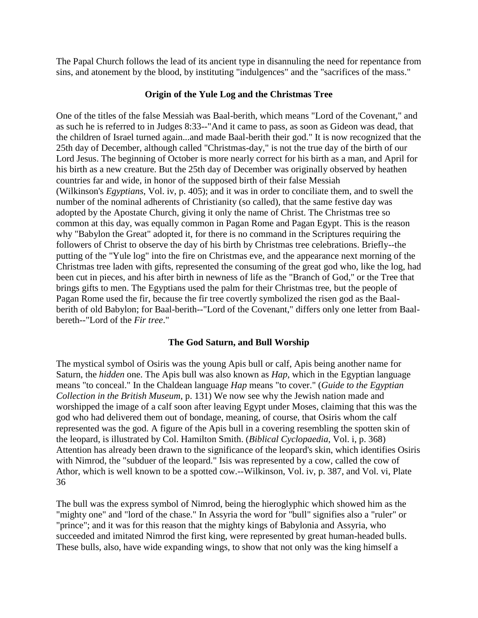The Papal Church follows the lead of its ancient type in disannuling the need for repentance from sins, and atonement by the blood, by instituting "indulgences" and the "sacrifices of the mass."

### **Origin of the Yule Log and the Christmas Tree**

One of the titles of the false Messiah was Baal-berith, which means "Lord of the Covenant," and as such he is referred to in Judges 8:33--"And it came to pass, as soon as Gideon was dead, that the children of Israel turned again...and made Baal-berith their god." It is now recognized that the 25th day of December, although called "Christmas-day," is not the true day of the birth of our Lord Jesus. The beginning of October is more nearly correct for his birth as a man, and April for his birth as a new creature. But the 25th day of December was originally observed by heathen countries far and wide, in honor of the supposed birth of their false Messiah (Wilkinson's *Egyptians*, Vol. iv, p. 405); and it was in order to conciliate them, and to swell the number of the nominal adherents of Christianity (so called), that the same festive day was adopted by the Apostate Church, giving it only the name of Christ. The Christmas tree so common at this day, was equally common in Pagan Rome and Pagan Egypt. This is the reason why "Babylon the Great" adopted it, for there is no command in the Scriptures requiring the followers of Christ to observe the day of his birth by Christmas tree celebrations. Briefly--the putting of the "Yule log" into the fire on Christmas eve, and the appearance next morning of the Christmas tree laden with gifts, represented the consuming of the great god who, like the log, had been cut in pieces, and his after birth in newness of life as the "Branch of God," or the Tree that brings gifts to men. The Egyptians used the palm for their Christmas tree, but the people of Pagan Rome used the fir, because the fir tree covertly symbolized the risen god as the Baalberith of old Babylon; for Baal-berith--"Lord of the Covenant," differs only one letter from Baalbereth--"Lord of the *Fir tree*."

# **The God Saturn, and Bull Worship**

The mystical symbol of Osiris was the young Apis bull or calf, Apis being another name for Saturn, the *hidden* one. The Apis bull was also known as *Hap*, which in the Egyptian language means "to conceal." In the Chaldean language *Hap* means "to cover." (*Guide to the Egyptian Collection in the British Museum*, p. 131) We now see why the Jewish nation made and worshipped the image of a calf soon after leaving Egypt under Moses, claiming that this was the god who had delivered them out of bondage, meaning, of course, that Osiris whom the calf represented was the god. A figure of the Apis bull in a covering resembling the spotten skin of the leopard, is illustrated by Col. Hamilton Smith. (*Biblical Cyclopaedia*, Vol. i, p. 368) Attention has already been drawn to the significance of the leopard's skin, which identifies Osiris with Nimrod, the "subduer of the leopard." Isis was represented by a cow, called the cow of Athor, which is well known to be a spotted cow.--Wilkinson, Vol. iv, p. 387, and Vol. vi, Plate 36

The bull was the express symbol of Nimrod, being the hieroglyphic which showed him as the "mighty one" and "lord of the chase." In Assyria the word for "bull" signifies also a "ruler" or "prince"; and it was for this reason that the mighty kings of Babylonia and Assyria, who succeeded and imitated Nimrod the first king, were represented by great human-headed bulls. These bulls, also, have wide expanding wings, to show that not only was the king himself a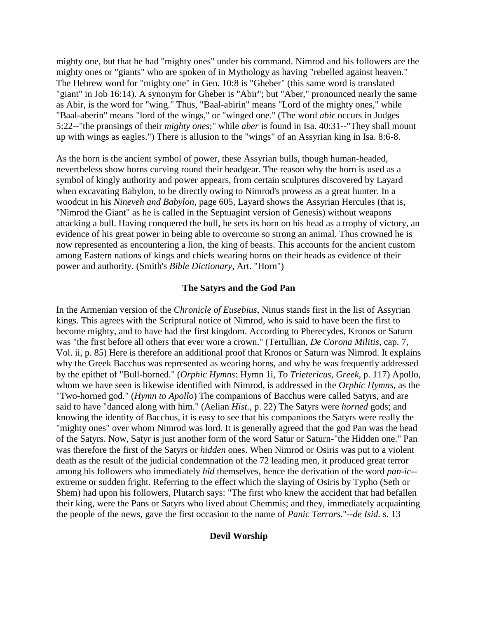mighty one, but that he had "mighty ones" under his command. Nimrod and his followers are the mighty ones or "giants" who are spoken of in Mythology as having "rebelled against heaven." The Hebrew word for "mighty one" in Gen. 10:8 is "Gheber" (this same word is translated "giant" in Job 16:14). A synonym for Gheber is "Abir"; but "Aber," pronounced nearly the same as Abir, is the word for "wing." Thus, "Baal-abirin" means "Lord of the mighty ones," while "Baal-aberin" means "lord of the wings," or "winged one." (The word *abir* occurs in Judges 5:22--"the pransings of their *mighty ones*;" while *aber* is found in Isa. 40:31--"They shall mount up with wings as eagles.") There is allusion to the "wings" of an Assyrian king in Isa. 8:6-8.

As the horn is the ancient symbol of power, these Assyrian bulls, though human-headed, nevertheless show horns curving round their headgear. The reason why the horn is used as a symbol of kingly authority and power appears, from certain sculptures discovered by Layard when excavating Babylon, to be directly owing to Nimrod's prowess as a great hunter. In a woodcut in his *Nineveh and Babylon*, page 605, Layard shows the Assyrian Hercules (that is, "Nimrod the Giant" as he is called in the Septuagint version of Genesis) without weapons attacking a bull. Having conquered the bull, he sets its horn on his head as a trophy of victory, an evidence of his great power in being able to overcome so strong an animal. Thus crowned he is now represented as encountering a lion, the king of beasts. This accounts for the ancient custom among Eastern nations of kings and chiefs wearing horns on their heads as evidence of their power and authority. (Smith's *Bible Dictionary*, Art. "Horn")

#### **The Satyrs and the God Pan**

In the Armenian version of the *Chronicle of Eusebius*, Ninus stands first in the list of Assyrian kings. This agrees with the Scriptural notice of Nimrod, who is said to have been the first to become mighty, and to have had the first kingdom. According to Pherecydes, Kronos or Saturn was "the first before all others that ever wore a crown." (Tertullian, *De Corona Militis*, cap. 7, Vol. ii, p. 85) Here is therefore an additional proof that Kronos or Saturn was Nimrod. It explains why the Greek Bacchus was represented as wearing horns, and why he was frequently addressed by the epithet of "Bull-horned." (*Orphic Hymns*: Hymn 1i, *To Trietericus, Greek*, p. 117) Apollo, whom we have seen is likewise identified with Nimrod, is addressed in the *Orphic Hymns*, as the "Two-horned god." (*Hymn to Apollo*) The companions of Bacchus were called Satyrs, and are said to have "danced along with him." (Aelian *Hist.*, p. 22) The Satyrs were *horned* gods; and knowing the identity of Bacchus, it is easy to see that his companions the Satyrs were really the "mighty ones" over whom Nimrod was lord. It is generally agreed that the god Pan was the head of the Satyrs. Now, Satyr is just another form of the word Satur or Saturn-"the Hidden one." Pan was therefore the first of the Satyrs or *hidden* ones. When Nimrod or Osiris was put to a violent death as the result of the judicial condemnation of the 72 leading men, it produced great terror among his followers who immediately *hid* themselves, hence the derivation of the word *pan-ic*- extreme or sudden fright. Referring to the effect which the slaying of Osiris by Typho (Seth or Shem) had upon his followers, Plutarch says: "The first who knew the accident that had befallen their king, were the Pans or Satyrs who lived about Chemmis; and they, immediately acquainting the people of the news, gave the first occasion to the name of *Panic Terrors*."--*de Isid.* s. 13

### **Devil Worship**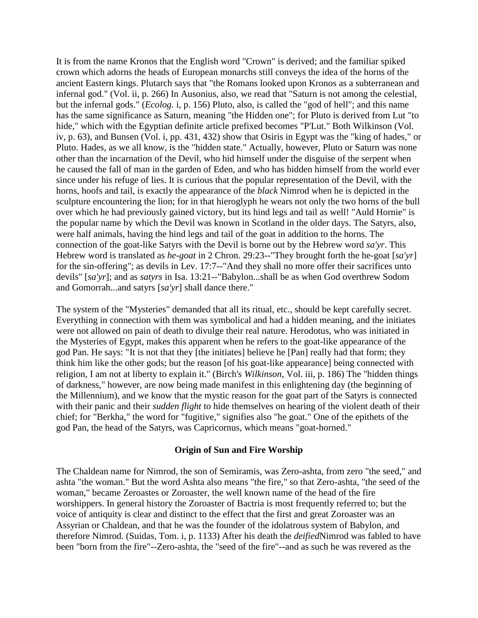It is from the name Kronos that the English word "Crown" is derived; and the familiar spiked crown which adorns the heads of European monarchs still conveys the idea of the horns of the ancient Eastern kings. Plutarch says that "the Romans looked upon Kronos as a subterranean and infernal god." (Vol. ii, p. 266) In Ausonius, also, we read that "Saturn is not among the celestial, but the infernal gods." (*Ecolog.* i, p. 156) Pluto, also, is called the "god of hell"; and this name has the same significance as Saturn, meaning "the Hidden one"; for Pluto is derived from Lut "to hide," which with the Egyptian definite article prefixed becomes "P'Lut." Both Wilkinson (Vol. iv, p. 63), and Bunsen (Vol. i, pp. 431, 432) show that Osiris in Egypt was the "king of hades," or Pluto. Hades, as we all know, is the "hidden state." Actually, however, Pluto or Saturn was none other than the incarnation of the Devil, who hid himself under the disguise of the serpent when he caused the fall of man in the garden of Eden, and who has hidden himself from the world ever since under his refuge of lies. It is curious that the popular representation of the Devil, with the horns, hoofs and tail, is exactly the appearance of the *black* Nimrod when he is depicted in the sculpture encountering the lion; for in that hieroglyph he wears not only the two horns of the bull over which he had previously gained victory, but its hind legs and tail as well! "Auld Hornie" is the popular name by which the Devil was known in Scotland in the older days. The Satyrs, also, were half animals, having the hind legs and tail of the goat in addition to the horns. The connection of the goat-like Satyrs with the Devil is borne out by the Hebrew word *sa'yr*. This Hebrew word is translated as *he-goat* in 2 Chron. 29:23--"They brought forth the he-goat [*sa'yr*] for the sin-offering"; as devils in Lev. 17:7--"And they shall no more offer their sacrifices unto devils" [*sa'yr*]; and as *satyrs* in Isa. 13:21--"Babylon...shall be as when God overthrew Sodom and Gomorrah...and satyrs [*sa'yr*] shall dance there."

The system of the "Mysteries" demanded that all its ritual, etc., should be kept carefully secret. Everything in connection with them was symbolical and had a hidden meaning, and the initiates were not allowed on pain of death to divulge their real nature. Herodotus, who was initiated in the Mysteries of Egypt, makes this apparent when he refers to the goat-like appearance of the god Pan. He says: "It is not that they [the initiates] believe he [Pan] really had that form; they think him like the other gods; but the reason [of his goat-like appearance] being connected with religion, I am not at liberty to explain it." (Birch's *Wilkinson*, Vol. iii, p. 186) The "hidden things of darkness," however, are now being made manifest in this enlightening day (the beginning of the Millennium), and we know that the mystic reason for the goat part of the Satyrs is connected with their panic and their *sudden flight* to hide themselves on hearing of the violent death of their chief; for "Berkha," the word for "fugitive," signifies also "he goat." One of the epithets of the god Pan, the head of the Satyrs, was Capricornus, which means "goat-horned."

#### **Origin of Sun and Fire Worship**

The Chaldean name for Nimrod, the son of Semiramis, was Zero-ashta, from zero "the seed," and ashta "the woman." But the word Ashta also means "the fire," so that Zero-ashta, "the seed of the woman," became Zeroastes or Zoroaster, the well known name of the head of the fire worshippers. In general history the Zoroaster of Bactria is most frequently referred to; but the voice of antiquity is clear and distinct to the effect that the first and great Zoroaster was an Assyrian or Chaldean, and that he was the founder of the idolatrous system of Babylon, and therefore Nimrod. (Suidas, Tom. i, p. 1133) After his death the *deified*Nimrod was fabled to have been "born from the fire"--Zero-ashta, the "seed of the fire"--and as such he was revered as the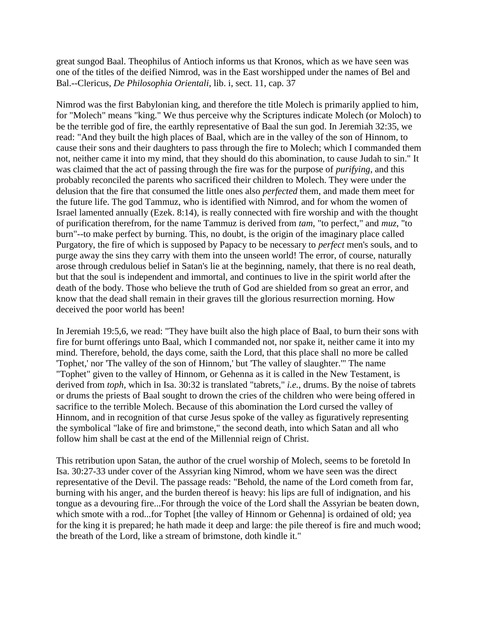great sungod Baal. Theophilus of Antioch informs us that Kronos, which as we have seen was one of the titles of the deified Nimrod, was in the East worshipped under the names of Bel and Bal.--Clericus, *De Philosophia Orientali*, lib. i, sect. 11, cap. 37

Nimrod was the first Babylonian king, and therefore the title Molech is primarily applied to him, for "Molech" means "king." We thus perceive why the Scriptures indicate Molech (or Moloch) to be the terrible god of fire, the earthly representative of Baal the sun god. In Jeremiah 32:35, we read: "And they built the high places of Baal, which are in the valley of the son of Hinnom, to cause their sons and their daughters to pass through the fire to Molech; which I commanded them not, neither came it into my mind, that they should do this abomination, to cause Judah to sin." It was claimed that the act of passing through the fire was for the purpose of *purifying*, and this probably reconciled the parents who sacrificed their children to Molech. They were under the delusion that the fire that consumed the little ones also *perfected* them, and made them meet for the future life. The god Tammuz, who is identified with Nimrod, and for whom the women of Israel lamented annually (Ezek. 8:14), is really connected with fire worship and with the thought of purification therefrom, for the name Tammuz is derived from *tam*, "to perfect," and *muz*, "to burn"--to make perfect by burning. This, no doubt, is the origin of the imaginary place called Purgatory, the fire of which is supposed by Papacy to be necessary to *perfect* men's souls, and to purge away the sins they carry with them into the unseen world! The error, of course, naturally arose through credulous belief in Satan's lie at the beginning, namely, that there is no real death, but that the soul is independent and immortal, and continues to live in the spirit world after the death of the body. Those who believe the truth of God are shielded from so great an error, and know that the dead shall remain in their graves till the glorious resurrection morning. How deceived the poor world has been!

In Jeremiah 19:5,6, we read: "They have built also the high place of Baal, to burn their sons with fire for burnt offerings unto Baal, which I commanded not, nor spake it, neither came it into my mind. Therefore, behold, the days come, saith the Lord, that this place shall no more be called 'Tophet,' nor 'The valley of the son of Hinnom,' but 'The valley of slaughter.'" The name "Tophet" given to the valley of Hinnom, or Gehenna as it is called in the New Testament, is derived from *toph*, which in Isa. 30:32 is translated "tabrets," *i.e.*, drums. By the noise of tabrets or drums the priests of Baal sought to drown the cries of the children who were being offered in sacrifice to the terrible Molech. Because of this abomination the Lord cursed the valley of Hinnom, and in recognition of that curse Jesus spoke of the valley as figuratively representing the symbolical "lake of fire and brimstone," the second death, into which Satan and all who follow him shall be cast at the end of the Millennial reign of Christ.

This retribution upon Satan, the author of the cruel worship of Molech, seems to be foretold In Isa. 30:27-33 under cover of the Assyrian king Nimrod, whom we have seen was the direct representative of the Devil. The passage reads: "Behold, the name of the Lord cometh from far, burning with his anger, and the burden thereof is heavy: his lips are full of indignation, and his tongue as a devouring fire...For through the voice of the Lord shall the Assyrian be beaten down, which smote with a rod...for Tophet [the valley of Hinnom or Gehenna] is ordained of old; yea for the king it is prepared; he hath made it deep and large: the pile thereof is fire and much wood; the breath of the Lord, like a stream of brimstone, doth kindle it."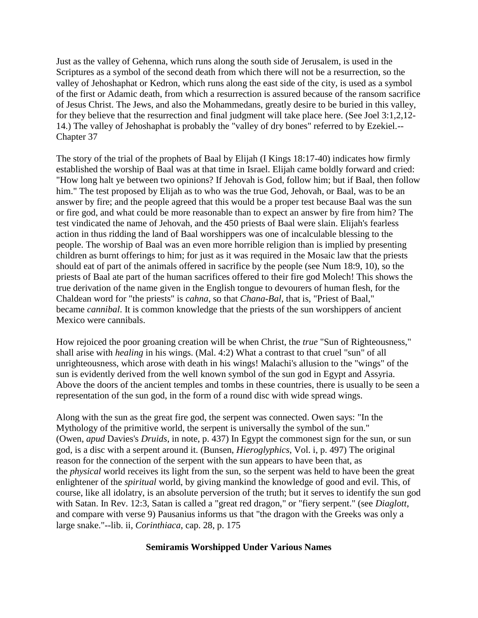Just as the valley of Gehenna, which runs along the south side of Jerusalem, is used in the Scriptures as a symbol of the second death from which there will not be a resurrection, so the valley of Jehoshaphat or Kedron, which runs along the east side of the city, is used as a symbol of the first or Adamic death, from which a resurrection is assured because of the ransom sacrifice of Jesus Christ. The Jews, and also the Mohammedans, greatly desire to be buried in this valley, for they believe that the resurrection and final judgment will take place here. (See Joel 3:1,2,12- 14.) The valley of Jehoshaphat is probably the "valley of dry bones" referred to by Ezekiel.-- Chapter 37

The story of the trial of the prophets of Baal by Elijah (I Kings 18:17-40) indicates how firmly established the worship of Baal was at that time in Israel. Elijah came boldly forward and cried: "How long halt ye between two opinions? If Jehovah is God, follow him; but if Baal, then follow him." The test proposed by Elijah as to who was the true God, Jehovah, or Baal, was to be an answer by fire; and the people agreed that this would be a proper test because Baal was the sun or fire god, and what could be more reasonable than to expect an answer by fire from him? The test vindicated the name of Jehovah, and the 450 priests of Baal were slain. Elijah's fearless action in thus ridding the land of Baal worshippers was one of incalculable blessing to the people. The worship of Baal was an even more horrible religion than is implied by presenting children as burnt offerings to him; for just as it was required in the Mosaic law that the priests should eat of part of the animals offered in sacrifice by the people (see Num 18:9, 10), so the priests of Baal ate part of the human sacrifices offered to their fire god Molech! This shows the true derivation of the name given in the English tongue to devourers of human flesh, for the Chaldean word for "the priests" is *cahna*, so that *Chana-Bal*, that is, "Priest of Baal," became *cannibal*. It is common knowledge that the priests of the sun worshippers of ancient Mexico were cannibals.

How rejoiced the poor groaning creation will be when Christ, the *true* "Sun of Righteousness," shall arise with *healing* in his wings. (Mal. 4:2) What a contrast to that cruel "sun" of all unrighteousness, which arose with death in his wings! Malachi's allusion to the "wings" of the sun is evidently derived from the well known symbol of the sun god in Egypt and Assyria. Above the doors of the ancient temples and tombs in these countries, there is usually to be seen a representation of the sun god, in the form of a round disc with wide spread wings.

Along with the sun as the great fire god, the serpent was connected. Owen says: "In the Mythology of the primitive world, the serpent is universally the symbol of the sun." (Owen, *apud* Davies's *Druids*, in note, p. 437) In Egypt the commonest sign for the sun, or sun god, is a disc with a serpent around it. (Bunsen, *Hieroglyphics*, Vol. i, p. 497) The original reason for the connection of the serpent with the sun appears to have been that, as the *physical* world receives its light from the sun, so the serpent was held to have been the great enlightener of the *spiritual* world, by giving mankind the knowledge of good and evil. This, of course, like all idolatry, is an absolute perversion of the truth; but it serves to identify the sun god with Satan. In Rev. 12:3, Satan is called a "great red dragon," or "fiery serpent." (see *Diaglott*, and compare with verse 9) Pausanius informs us that "the dragon with the Greeks was only a large snake."--lib. ii, *Corinthiaca*, cap. 28, p. 175

# **Semiramis Worshipped Under Various Names**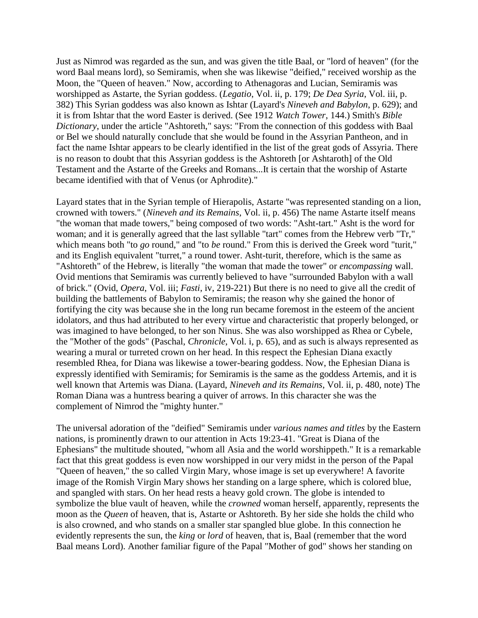Just as Nimrod was regarded as the sun, and was given the title Baal, or "lord of heaven" (for the word Baal means lord), so Semiramis, when she was likewise "deified," received worship as the Moon, the "Queen of heaven." Now, according to Athenagoras and Lucian, Semiramis was worshipped as Astarte, the Syrian goddess. (*Legatio*, Vol. ii, p. 179; *De Dea Syria*, Vol. iii, p. 382) This Syrian goddess was also known as Ishtar (Layard's *Nineveh and Babylon*, p. 629); and it is from Ishtar that the word Easter is derived. (See 1912 *Watch Tower*, 144.) Smith's *Bible Dictionary*, under the article "Ashtoreth," says: "From the connection of this goddess with Baal or Bel we should naturally conclude that she would be found in the Assyrian Pantheon, and in fact the name Ishtar appears to be clearly identified in the list of the great gods of Assyria. There is no reason to doubt that this Assyrian goddess is the Ashtoreth [or Ashtaroth] of the Old Testament and the Astarte of the Greeks and Romans...It is certain that the worship of Astarte became identified with that of Venus (or Aphrodite)."

Layard states that in the Syrian temple of Hierapolis, Astarte "was represented standing on a lion, crowned with towers." (*Nineveh and its Remains*, Vol. ii, p. 456) The name Astarte itself means "the woman that made towers," being composed of two words: "Asht-tart." Asht is the word for woman; and it is generally agreed that the last syllable "tart" comes from the Hebrew verb "Tr," which means both "to *go* round," and "to *be* round." From this is derived the Greek word "turit," and its English equivalent "turret," a round tower. Asht-turit, therefore, which is the same as "Ashtoreth" of the Hebrew, is literally "the woman that made the tower" or *encompassing* wall. Ovid mentions that Semiramis was currently believed to have "surrounded Babylon with a wall of brick." (Ovid, *Opera*, Vol. iii; *Fasti*, iv, 219-221) But there is no need to give all the credit of building the battlements of Babylon to Semiramis; the reason why she gained the honor of fortifying the city was because she in the long run became foremost in the esteem of the ancient idolators, and thus had attributed to her every virtue and characteristic that properly belonged, or was imagined to have belonged, to her son Ninus. She was also worshipped as Rhea or Cybele, the "Mother of the gods" (Paschal, *Chronicle*, Vol. i, p. 65), and as such is always represented as wearing a mural or turreted crown on her head. In this respect the Ephesian Diana exactly resembled Rhea, for Diana was likewise a tower-bearing goddess. Now, the Ephesian Diana is expressly identified with Semiramis; for Semiramis is the same as the goddess Artemis, and it is well known that Artemis was Diana. (Layard, *Nineveh and its Remains*, Vol. ii, p. 480, note) The Roman Diana was a huntress bearing a quiver of arrows. In this character she was the complement of Nimrod the "mighty hunter."

The universal adoration of the "deified" Semiramis under *various names and titles* by the Eastern nations, is prominently drawn to our attention in Acts 19:23-41. "Great is Diana of the Ephesians" the multitude shouted, "whom all Asia and the world worshippeth." It is a remarkable fact that this great goddess is even now worshipped in our very midst in the person of the Papal "Queen of heaven," the so called Virgin Mary, whose image is set up everywhere! A favorite image of the Romish Virgin Mary shows her standing on a large sphere, which is colored blue, and spangled with stars. On her head rests a heavy gold crown. The globe is intended to symbolize the blue vault of heaven, while the *crowned* woman herself, apparently, represents the moon as the *Queen* of heaven, that is, Astarte or Ashtoreth. By her side she holds the child who is also crowned, and who stands on a smaller star spangled blue globe. In this connection he evidently represents the sun, the *king* or *lord* of heaven, that is, Baal (remember that the word Baal means Lord). Another familiar figure of the Papal "Mother of god" shows her standing on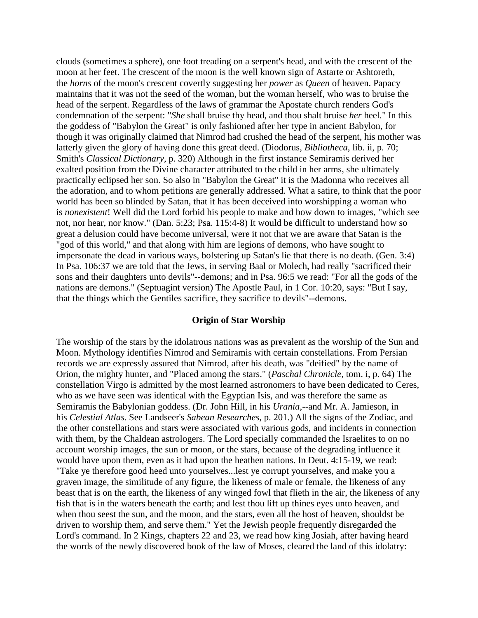clouds (sometimes a sphere), one foot treading on a serpent's head, and with the crescent of the moon at her feet. The crescent of the moon is the well known sign of Astarte or Ashtoreth, the *horns* of the moon's crescent covertly suggesting her *power* as *Queen* of heaven. Papacy maintains that it was not the seed of the woman, but the woman herself, who was to bruise the head of the serpent. Regardless of the laws of grammar the Apostate church renders God's condemnation of the serpent: "*She* shall bruise thy head, and thou shalt bruise *her* heel." In this the goddess of "Babylon the Great" is only fashioned after her type in ancient Babylon, for though it was originally claimed that Nimrod had crushed the head of the serpent, his mother was latterly given the glory of having done this great deed. (Diodorus, *Bibliotheca*, lib. ii, p. 70; Smith's *Classical Dictionary*, p. 320) Although in the first instance Semiramis derived her exalted position from the Divine character attributed to the child in her arms, she ultimately practically eclipsed her son. So also in "Babylon the Great" it is the Madonna who receives all the adoration, and to whom petitions are generally addressed. What a satire, to think that the poor world has been so blinded by Satan, that it has been deceived into worshipping a woman who is *nonexistent*! Well did the Lord forbid his people to make and bow down to images, "which see not, nor hear, nor know." (Dan. 5:23; Psa. 115:4-8) It would be difficult to understand how so great a delusion could have become universal, were it not that we are aware that Satan is the "god of this world," and that along with him are legions of demons, who have sought to impersonate the dead in various ways, bolstering up Satan's lie that there is no death. (Gen. 3:4) In Psa. 106:37 we are told that the Jews, in serving Baal or Molech, had really "sacrificed their sons and their daughters unto devils"--demons; and in Psa. 96:5 we read: "For all the gods of the nations are demons." (Septuagint version) The Apostle Paul, in 1 Cor. 10:20, says: "But I say, that the things which the Gentiles sacrifice, they sacrifice to devils"--demons.

#### **Origin of Star Worship**

The worship of the stars by the idolatrous nations was as prevalent as the worship of the Sun and Moon. Mythology identifies Nimrod and Semiramis with certain constellations. From Persian records we are expressly assured that Nimrod, after his death, was "deified" by the name of Orion, the mighty hunter, and "Placed among the stars." (*Paschal Chronicle*, tom. i, p. 64) The constellation Virgo is admitted by the most learned astronomers to have been dedicated to Ceres, who as we have seen was identical with the Egyptian Isis, and was therefore the same as Semiramis the Babylonian goddess. (Dr. John Hill, in his *Urania*,--and Mr. A. Jamieson, in his *Celestial Atlas*. See Landseer's *Sabean Researches*, p. 201.) All the signs of the Zodiac, and the other constellations and stars were associated with various gods, and incidents in connection with them, by the Chaldean astrologers. The Lord specially commanded the Israelites to on no account worship images, the sun or moon, or the stars, because of the degrading influence it would have upon them, even as it had upon the heathen nations. In Deut. 4:15-19, we read: "Take ye therefore good heed unto yourselves...lest ye corrupt yourselves, and make you a graven image, the similitude of any figure, the likeness of male or female, the likeness of any beast that is on the earth, the likeness of any winged fowl that flieth in the air, the likeness of any fish that is in the waters beneath the earth; and lest thou lift up thines eyes unto heaven, and when thou seest the sun, and the moon, and the stars, even all the host of heaven, shouldst be driven to worship them, and serve them." Yet the Jewish people frequently disregarded the Lord's command. In 2 Kings, chapters 22 and 23, we read how king Josiah, after having heard the words of the newly discovered book of the law of Moses, cleared the land of this idolatry: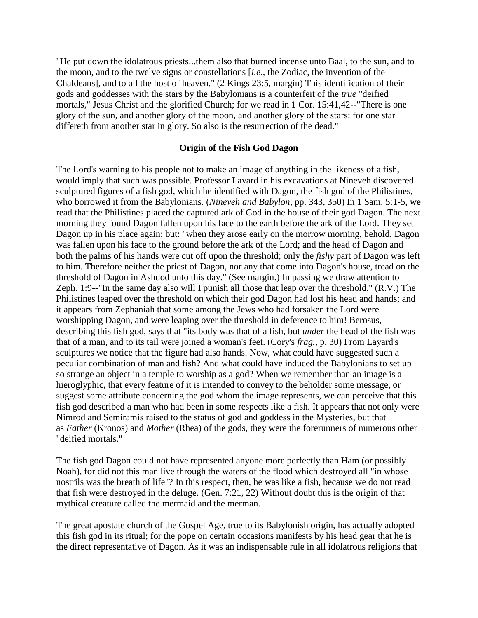"He put down the idolatrous priests...them also that burned incense unto Baal, to the sun, and to the moon, and to the twelve signs or constellations [*i.e.*, the Zodiac, the invention of the Chaldeans], and to all the host of heaven." (2 Kings 23:5, margin) This identification of their gods and goddesses with the stars by the Babylonians is a counterfeit of the *true* "deified mortals," Jesus Christ and the glorified Church; for we read in 1 Cor. 15:41,42--"There is one glory of the sun, and another glory of the moon, and another glory of the stars: for one star differeth from another star in glory. So also is the resurrection of the dead."

#### **Origin of the Fish God Dagon**

The Lord's warning to his people not to make an image of anything in the likeness of a fish, would imply that such was possible. Professor Layard in his excavations at Nineveh discovered sculptured figures of a fish god, which he identified with Dagon, the fish god of the Philistines, who borrowed it from the Babylonians. (*Nineveh and Babylon*, pp. 343, 350) In 1 Sam. 5:1-5, we read that the Philistines placed the captured ark of God in the house of their god Dagon. The next morning they found Dagon fallen upon his face to the earth before the ark of the Lord. They set Dagon up in his place again; but: "when they arose early on the morrow morning, behold, Dagon was fallen upon his face to the ground before the ark of the Lord; and the head of Dagon and both the palms of his hands were cut off upon the threshold; only the *fishy* part of Dagon was left to him. Therefore neither the priest of Dagon, nor any that come into Dagon's house, tread on the threshold of Dagon in Ashdod unto this day." (See margin.) In passing we draw attention to Zeph. 1:9--"In the same day also will I punish all those that leap over the threshold." (R.V.) The Philistines leaped over the threshold on which their god Dagon had lost his head and hands; and it appears from Zephaniah that some among the Jews who had forsaken the Lord were worshipping Dagon, and were leaping over the threshold in deference to him! Berosus, describing this fish god, says that "its body was that of a fish, but *under* the head of the fish was that of a man, and to its tail were joined a woman's feet. (Cory's *frag.*, p. 30) From Layard's sculptures we notice that the figure had also hands. Now, what could have suggested such a peculiar combination of man and fish? And what could have induced the Babylonians to set up so strange an object in a temple to worship as a god? When we remember than an image is a hieroglyphic, that every feature of it is intended to convey to the beholder some message, or suggest some attribute concerning the god whom the image represents, we can perceive that this fish god described a man who had been in some respects like a fish. It appears that not only were Nimrod and Semiramis raised to the status of god and goddess in the Mysteries, but that as *Father* (Kronos) and *Mother* (Rhea) of the gods, they were the forerunners of numerous other "deified mortals."

The fish god Dagon could not have represented anyone more perfectly than Ham (or possibly Noah), for did not this man live through the waters of the flood which destroyed all "in whose nostrils was the breath of life"? In this respect, then, he was like a fish, because we do not read that fish were destroyed in the deluge. (Gen. 7:21, 22) Without doubt this is the origin of that mythical creature called the mermaid and the merman.

The great apostate church of the Gospel Age, true to its Babylonish origin, has actually adopted this fish god in its ritual; for the pope on certain occasions manifests by his head gear that he is the direct representative of Dagon. As it was an indispensable rule in all idolatrous religions that